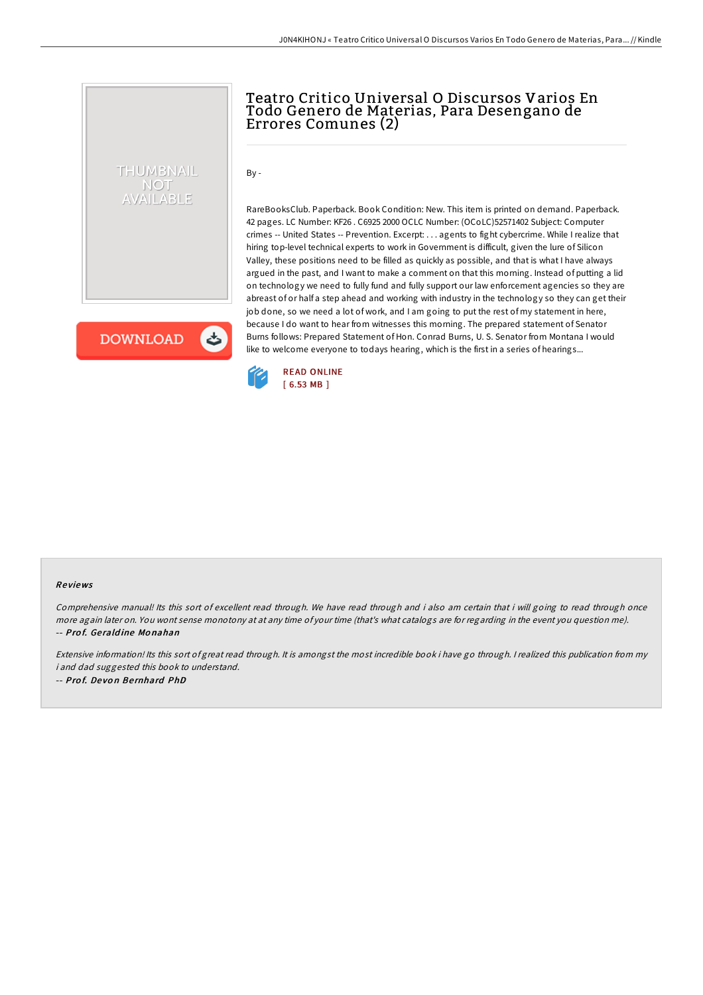## Teatro Critico Universal O Discursos Varios En Todo Genero de Materias, Para Desengano de Errores Comunes (2)

 $By -$ 

RareBooksClub. Paperback. Book Condition: New. This item is printed on demand. Paperback. 42 pages. LC Number: KF26 . C6925 2000 OCLC Number: (OCoLC)52571402 Subject: Computer crimes -- United States -- Prevention. Excerpt: . . . agents to fight cybercrime. While I realize that hiring top-level technical experts to work in Government is difficult, given the lure of Silicon Valley, these positions need to be filled as quickly as possible, and that is what I have always argued in the past, and I want to make a comment on that this morning. Instead of putting a lid on technology we need to fully fund and fully support our law enforcement agencies so they are abreast of or half a step ahead and working with industry in the technology so they can get their job done, so we need a lot of work, and I am going to put the rest of my statement in here, because I do want to hear from witnesses this morning. The prepared statement of Senator Burns follows: Prepared Statement of Hon. Conrad Burns, U. S. Senator from Montana I would like to welcome everyone to todays hearing, which is the first in a series of hearings...

**DOWNLOAD** 

しょ

THUMBNAIL NOT AVAILABLE



## Re views

Comprehensive manual! Its this sort of excellent read through. We have read through and i also am certain that i will going to read through once more again later on. You wont sense monotony at at any time of your time (that's what catalogs are for regarding in the event you question me). -- Prof. Geraldine Monahan

Extensive information! Its this sort of great read through. It is amongst the most incredible book i have go through. <sup>I</sup> realized this publication from my i and dad suggested this book to understand. -- Prof. Devon Bernhard PhD